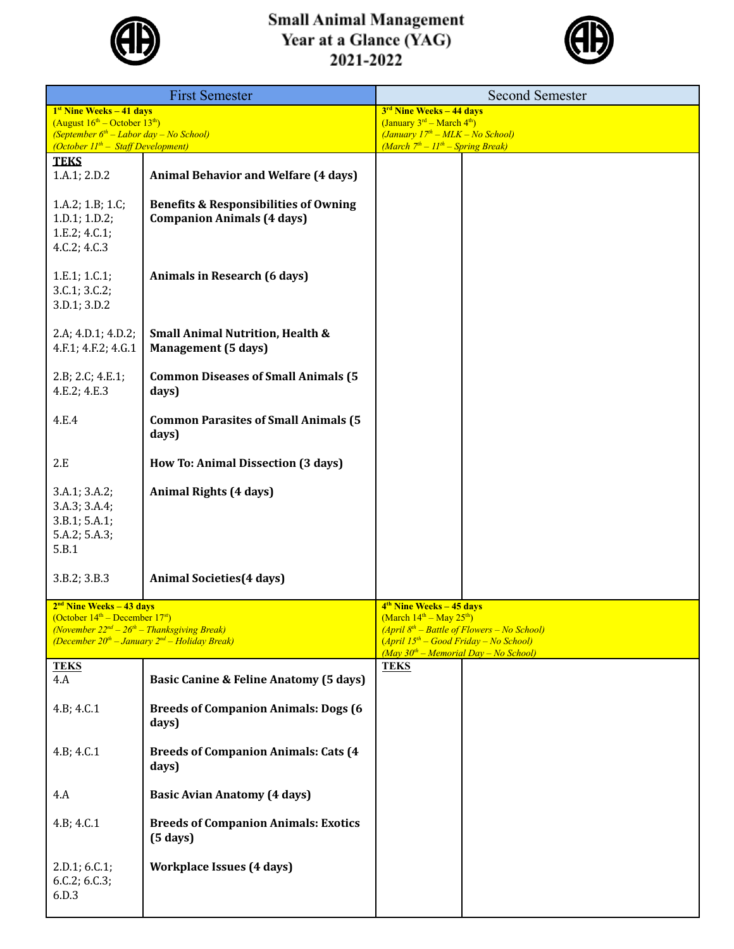

## **Small Animal Management<br>Year at a Glance (YAG)<br>2021-2022**



| <b>First Semester</b>                                                                                                                                                                         |                                                                                       | <b>Second Semester</b>                                                                                                                                                                                             |  |  |
|-----------------------------------------------------------------------------------------------------------------------------------------------------------------------------------------------|---------------------------------------------------------------------------------------|--------------------------------------------------------------------------------------------------------------------------------------------------------------------------------------------------------------------|--|--|
| $1st$ Nine Weeks $-41$ days<br>(August $16^{\text{th}}$ – October $13^{\text{th}}$ )<br>(September $6^{th}$ – Labor day – No School)<br>(October $II^{th}$ – Staff Development)               |                                                                                       | 3 <sup>rd</sup> Nine Weeks - 44 days<br>(January $3^{rd}$ – March $4^{th}$ )<br>$(January 17th - MLK - No School)$<br>(March $7th - 11th - Spring Break$ )                                                         |  |  |
| <b>TEKS</b><br>1.A.1; 2.D.2                                                                                                                                                                   | <b>Animal Behavior and Welfare (4 days)</b>                                           |                                                                                                                                                                                                                    |  |  |
| 1.A.2; 1.B; 1.C;<br>1.D.1; 1.D.2;<br>1.E.2; 4.C.1;<br>4.C.2; 4.C.3                                                                                                                            | <b>Benefits &amp; Responsibilities of Owning</b><br><b>Companion Animals (4 days)</b> |                                                                                                                                                                                                                    |  |  |
| 1.E.1; 1.C.1;<br>3.C.1; 3.C.2;<br>3.D.1; 3.D.2                                                                                                                                                | Animals in Research (6 days)                                                          |                                                                                                                                                                                                                    |  |  |
| 2.A; 4.D.1; 4.D.2;<br>4.F.1; 4.F.2; 4.G.1                                                                                                                                                     | <b>Small Animal Nutrition, Health &amp;</b><br><b>Management</b> (5 days)             |                                                                                                                                                                                                                    |  |  |
| 2.B; 2.C; 4.E.1;<br>4.E.2; 4.E.3                                                                                                                                                              | <b>Common Diseases of Small Animals (5</b><br>days)                                   |                                                                                                                                                                                                                    |  |  |
| 4.E.4                                                                                                                                                                                         | <b>Common Parasites of Small Animals (5</b><br>days)                                  |                                                                                                                                                                                                                    |  |  |
| 2.E                                                                                                                                                                                           | How To: Animal Dissection (3 days)                                                    |                                                                                                                                                                                                                    |  |  |
| 3.A.1; 3.A.2;<br>3.A.3; 3.A.4;<br>3.B.1; 5.A.1;<br>5.A.2; 5.A.3;<br>5.B.1                                                                                                                     | Animal Rights (4 days)                                                                |                                                                                                                                                                                                                    |  |  |
| 3.B.2; 3.B.3                                                                                                                                                                                  | <b>Animal Societies</b> (4 days)                                                      |                                                                                                                                                                                                                    |  |  |
| $2nd$ Nine Weeks – 43 days<br>(October $14th$ – December 17 <sup>st</sup> )<br>(November $22^{nd} - 26^{th} - Thanksgiving$ Break)<br>(December $20^{th}$ – January $2^{nd}$ – Holiday Break) |                                                                                       | 4 <sup>th</sup> Nine Weeks – 45 days<br>(March $14^{th}$ – May $25^{th}$ )<br>$(April 8th - Battle of Flowers - No School)$<br>$(April 15th - Good Friday - No School)$<br>$(May 30th - Memorial Day - No School)$ |  |  |
| <b>TEKS</b><br>4.A                                                                                                                                                                            | <b>Basic Canine &amp; Feline Anatomy (5 days)</b>                                     | <b>TEKS</b>                                                                                                                                                                                                        |  |  |
| 4.B; 4.C.1                                                                                                                                                                                    | <b>Breeds of Companion Animals: Dogs (6)</b><br>days)                                 |                                                                                                                                                                                                                    |  |  |
| 4.B; 4.C.1                                                                                                                                                                                    | <b>Breeds of Companion Animals: Cats (4)</b><br>days)                                 |                                                                                                                                                                                                                    |  |  |
| 4.A                                                                                                                                                                                           | <b>Basic Avian Anatomy (4 days)</b>                                                   |                                                                                                                                                                                                                    |  |  |
| 4.B; 4.C.1                                                                                                                                                                                    | <b>Breeds of Companion Animals: Exotics</b><br>$(5 \text{ days})$                     |                                                                                                                                                                                                                    |  |  |
| 2.D.1; 6.C.1;<br>6.C.2; 6.C.3;<br>6.D.3                                                                                                                                                       | <b>Workplace Issues (4 days)</b>                                                      |                                                                                                                                                                                                                    |  |  |